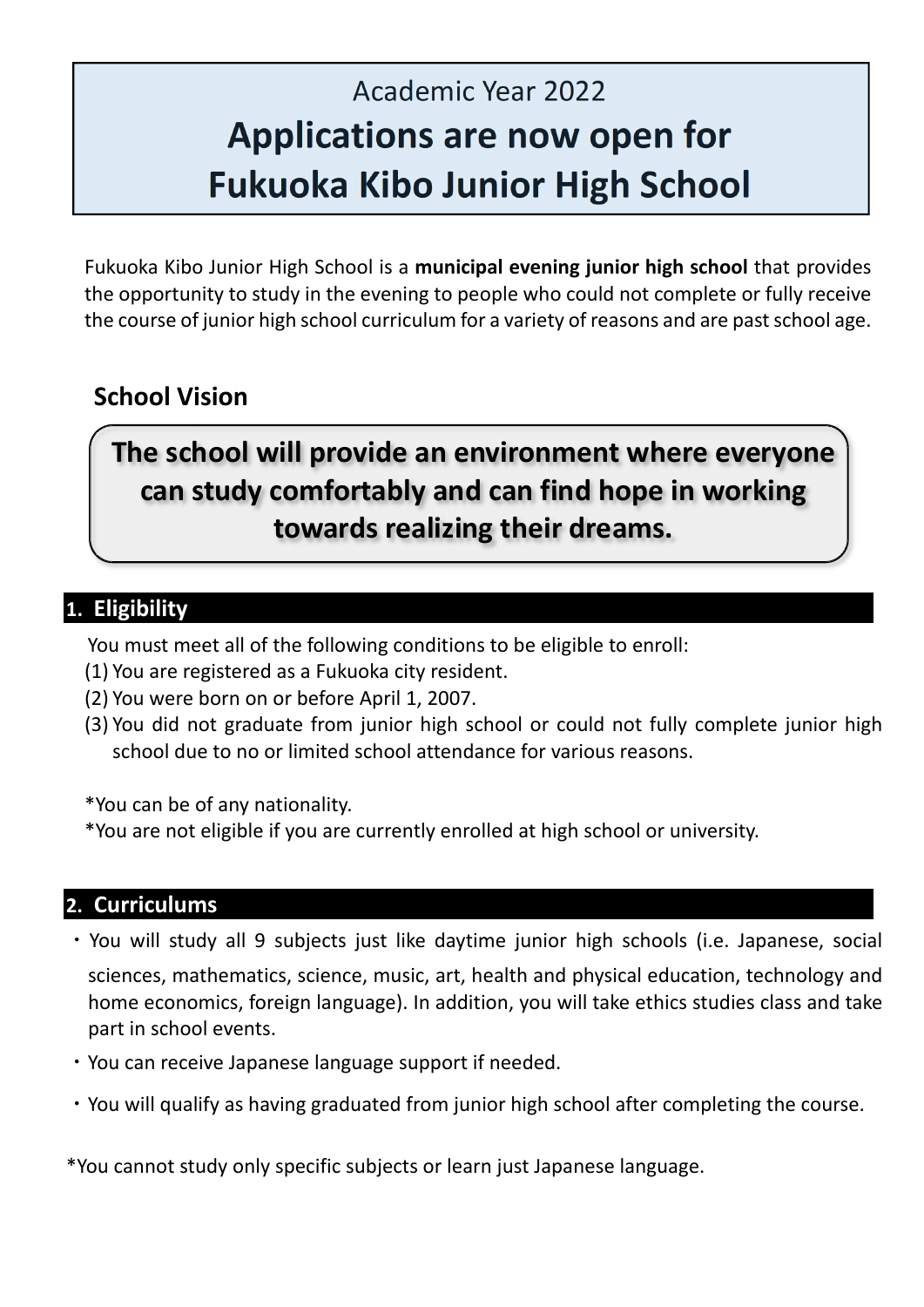# Academic Year 2022 **Applications are now open for Fukuoka Kibo Junior High School**

Fukuoka Kibo Junior High School is a **municipal evening junior high school** that provides the opportunity to study in the evening to people who could not complete or fully receive the course of junior high school curriculum for a variety of reasons and are past school age.

# **School Vision**

# **The school will provide an environment where everyone can study comfortably and can find hope in working towards realizing their dreams.**

## **1. Eligibility**

You must meet all of the following conditions to be eligible to enroll:

- (1) You are registered as a Fukuoka city resident.
- (2) You were born on or before April 1, 2007.
- (3) You did not graduate from junior high school or could not fully complete junior high school due to no or limited school attendance for various reasons.

\*You can be of any nationality.

\*You are not eligible if you are currently enrolled at high school or university.

#### **2. Curriculums**

- ・You will study all 9 subjects just like daytime junior high schools (i.e. Japanese, social sciences, mathematics, science, music, art, health and physical education, technology and home economics, foreign language). In addition, you will take ethics studies class and take part in school events.
- ・You can receive Japanese language support if needed.
- ・You will qualify as having graduated from junior high school after completing the course.

\*You cannot study only specific subjects or learn just Japanese language.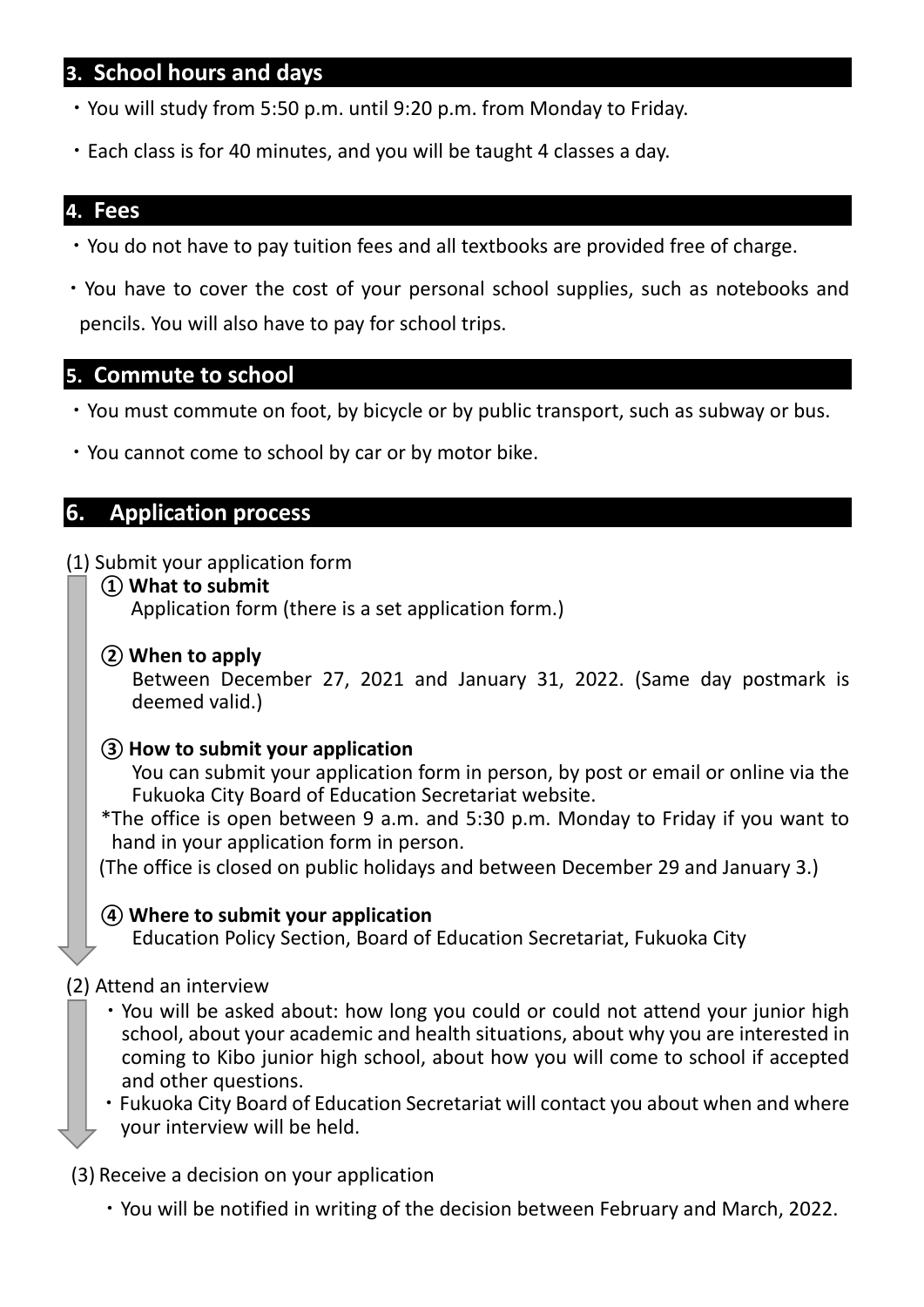#### **3. School hours and days**

- ・You will study from 5:50 p.m. until 9:20 p.m. from Monday to Friday.
- ・Each class is for 40 minutes, and you will be taught 4 classes a day.

#### **4. Fees**

- ・You do not have to pay tuition fees and all textbooks are provided free of charge.
- ・You have to cover the cost of your personal school supplies, such as notebooks and pencils. You will also have to pay for school trips.

#### **5. Commute to school**

- ・You must commute on foot, by bicycle or by public transport, such as subway or bus.
- ・You cannot come to school by car or by motor bike.

#### **6. Application process**

#### (1) Submit your application form

**① What to submit** 

Application form (there is a set application form.)

**② When to apply** 

Between December 27, 2021 and January 31, 2022. (Same day postmark is deemed valid.)

#### **③ How to submit your application**

You can submit your application form in person, by post or email or online via the Fukuoka City Board of Education Secretariat website.

\*The office is open between 9 a.m. and 5:30 p.m. Monday to Friday if you want to hand in your application form in person.

(The office is closed on public holidays and between December 29 and January 3.)

#### **④ Where to submit your application**

Education Policy Section, Board of Education Secretariat, Fukuoka City

#### (2) Attend an interview

- ・You will be asked about: how long you could or could not attend your junior high school, about your academic and health situations, about why you are interested in coming to Kibo junior high school, about how you will come to school if accepted and other questions.
- ・Fukuoka City Board of Education Secretariat will contact you about when and where your interview will be held.

(3) Receive a decision on your application

・You will be notified in writing of the decision between February and March, 2022.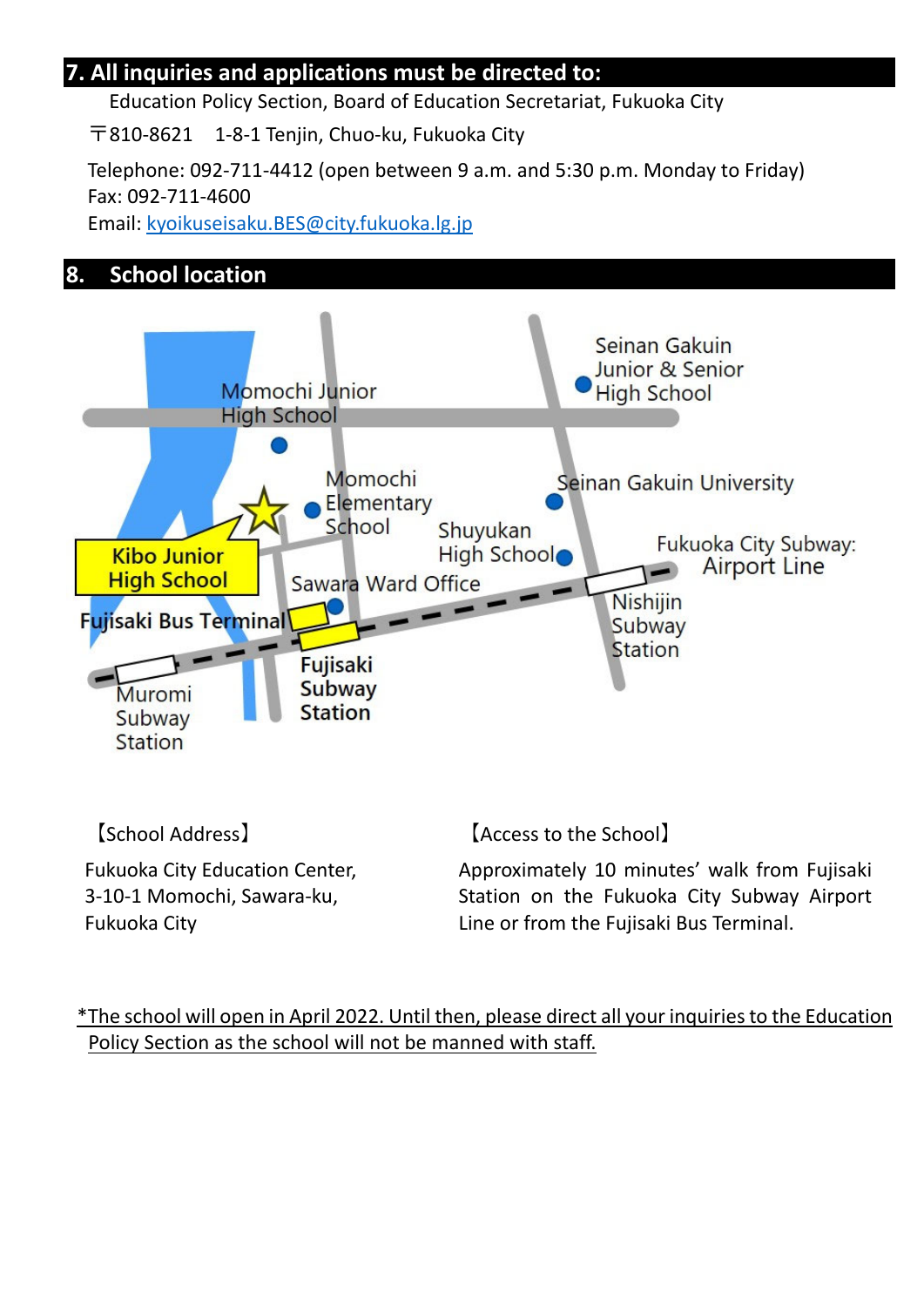### **7. All inquiries and applications must be directed to:**

Education Policy Section, Board of Education Secretariat, Fukuoka City

〒810‐8621 1‐8‐1 Tenjin, Chuo‐ku, Fukuoka City

Telephone: 092‐711‐4412 (open between 9 a.m. and 5:30 p.m. Monday to Friday) Fax: 092‐711‐4600

Email: kyoikuseisaku.BES@city.fukuoka.lg.jp

### **8. School location**



【School Address】

Fukuoka City Education Center, 3‐10‐1 Momochi, Sawara‐ku, Fukuoka City

【Access to the School】

Approximately 10 minutes' walk from Fujisaki Station on the Fukuoka City Subway Airport Line or from the Fujisaki Bus Terminal.

\*The school will open in April 2022. Until then, please direct all your inquiries to the Education Policy Section as the school will not be manned with staff.